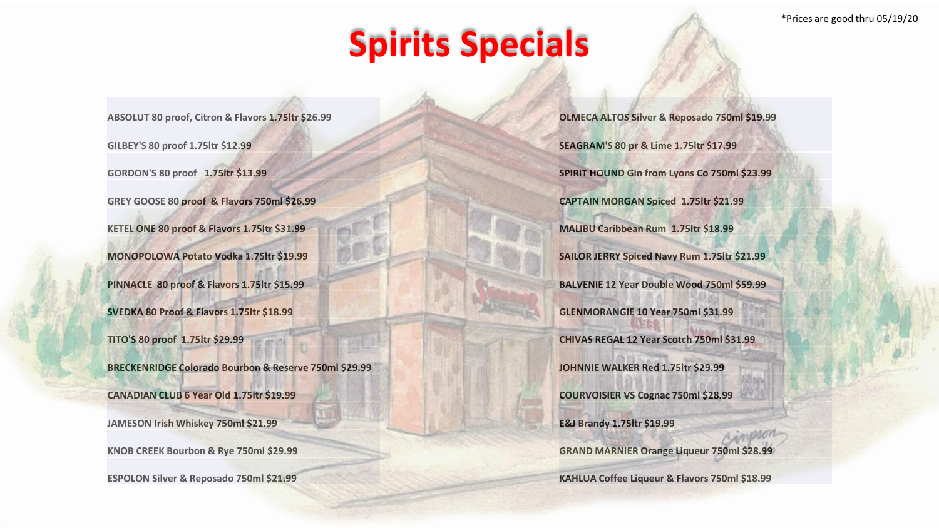## **Spirits Specials**

**ABSOLUT 80 proof, Citron & Flavors 1.75ltr \$26.99 GILBEY'S 80 proof 1.75ltr \$12.99 GORDON'S 80 proof 1.75ltr \$13.99 GREY GOOSE 80 proof & Flavors 750ml \$26.99 KETEL ONE 80 proof & Flavors 1.75ltr \$31.99 MONOPOLOWA Potato Vodka 1.75ltr \$19.99 PINNACLE 80 proof & Flavors 1.75ltr \$15.99 SVEDKA 80 Proof & Flavors 1.75ltr \$18.99 TITO'S 80 proof 1.75ltr \$29.99 BRECKENRIDGE Colorado Bourbon & Reserve 750ml \$29.99 CANADIAN CLUB 6 Year Old 1.75ltr \$19.99 JAMESON Irish Whiskey 750ml \$21.99 KNOB CREEK Bourbon & Rye 750ml \$29.99 ESPOLON Silver & Reposado 750ml \$21.99**

**OLMECA ALTOS Silver & Reposado 750ml \$19.99 SEAGRAM'S 80 pr & Lime 1.75ltr \$17.99 SPIRIT HOUND Gin from Lyons Co 750ml \$23.99 CAPTAIN MORGAN Spiced 1.75ltr \$21.99 MALIBU Caribbean Rum 1.75ltr \$18.99 SAILOR JERRY Spiced Navy Rum 1.75ltr \$21.99 BALVENIE 12 Year Double Wood 750ml \$59.99 GLENMORANGIE 10 Year 750ml \$31.99 CHIVAS REGAL 12 Year Scotch 750ml \$31.99 JOHNNIE WALKER Red 1.75ltr \$29.99 COURVOISIER VS Cognac 750ml \$28.99 E&J Brandy 1.75ltr \$19.99 GRAND MARNIER Orange Liqueur 750ml \$28.99 KAHLUA Coffee Liqueur & Flavors 750ml \$18.99**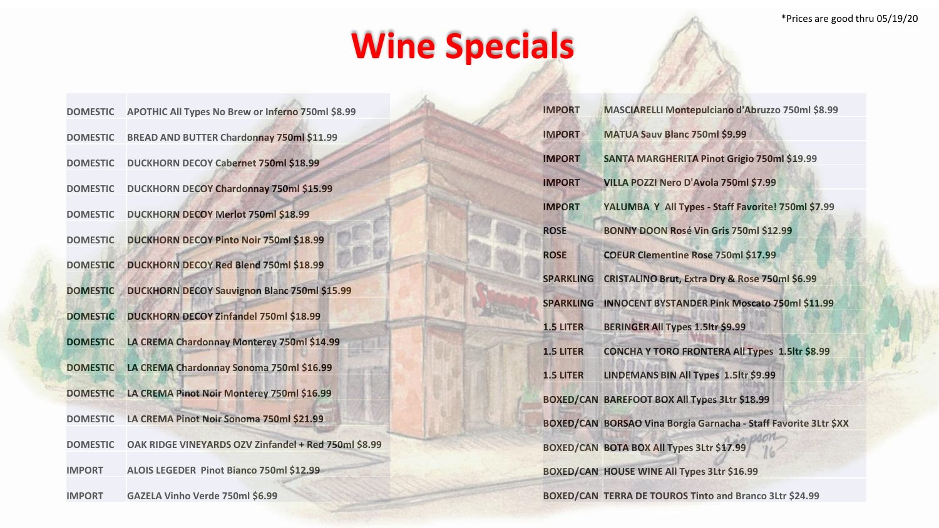## **Wine Specials**

| <b>DOMESTIC</b> | APOTHIC All Types No Brew or Inferno 750ml \$8.99    |
|-----------------|------------------------------------------------------|
| <b>DOMESTIC</b> | BREAD AND BUTTER Chardonnay 750ml \$11.99            |
| <b>DOMESTIC</b> | <b>DUCKHORN DECOY Cabernet 750ml \$18.99</b>         |
| <b>DOMESTIC</b> | DUCKHORN DECOY Chardonnay 750ml \$15.99              |
| <b>DOMESTIC</b> | <b>DUCKHORN DECOY Merlot 750ml \$18.99</b>           |
| <b>DOMESTIC</b> | <b>DUCKHORN DECOY Pinto Noir 750ml \$18.99</b>       |
| <b>DOMESTIC</b> | <b>DUCKHORN DECOY Red Blend 750ml \$18.99</b>        |
| <b>DOMESTIC</b> | <b>DUCKHORN DECOY Sauvignon Blanc 750ml \$15.99</b>  |
| <b>DOMESTIC</b> | <b>DUCKHORN DECOY Zinfandel 750ml \$18.99</b>        |
| <b>DOMESTIC</b> | LA CREMA Chardonnay Monterey 750ml \$14.99           |
| <b>DOMESTIC</b> | LA CREMA Chardonnay Sonoma 750ml \$16.99             |
| <b>DOMESTIC</b> | LA CREMA Pinot Noir Monterey 750ml \$16.99           |
| <b>DOMESTIC</b> | LA CREMA Pinot Noir Sonoma 750ml \$21.99             |
| <b>DOMESTIC</b> | OAK RIDGE VINEYARDS OZV Zinfandel + Red 750ml \$8.99 |
| <b>IMPORT</b>   | ALOIS LEGEDER Pinot Bianco 750ml \$12.99             |
| <b>IMPORT</b>   | GAZELA Vinho Verde 750ml \$6.99                      |

| <b>IMPORT</b>    | MASCIARELLI Montepulciano d'Abruzzo 750ml \$8.99                 |
|------------------|------------------------------------------------------------------|
| <b>IMPORT</b>    | MATUA Sauv Blanc 750ml \$9.99                                    |
| <b>IMPORT</b>    | SANTA MARGHERITA Pinot Grigio 750ml \$19.99                      |
| <b>IMPORT</b>    | VILLA POZZI Nero D'Avola 750ml \$7.99                            |
| <b>IMPORT</b>    | YALUMBA Y All Types - Staff Favorite! 750ml \$7.99               |
| <b>ROSE</b>      | BONNY DOON Rosé Vin Gris 750ml \$12.99                           |
| <b>ROSE</b>      | <b>COEUR Clementine Rose 750ml \$17.99</b>                       |
| <b>SPARKLING</b> | CRISTALINO Brut, Extra Dry & Rose 750ml \$6.99                   |
| <b>SPARKLING</b> | <b>INNOCENT BYSTANDER Pink Moscato 750ml \$11.99</b>             |
| <b>1.5 LITER</b> | <b>BERINGER All Types 1.5ltr \$9.99</b>                          |
| <b>1.5 LITER</b> | <b>CONCHA Y TORO FRONTERA All Types 1.5ltr \$8.99</b>            |
| <b>1.5 LITER</b> | LINDEMANS BIN All Types 1.5ltr \$9.99                            |
|                  | BOXED/CAN BAREFOOT BOX All Types 3Ltr \$18.99                    |
|                  | BOXED/CAN BORSAO Vina Borgia Garnacha - Staff Favorite 3Ltr \$XX |
|                  | BOXED/CAN BOTA BOX All Types 3Ltr \$17.99                        |
|                  | BOXED/CAN HOUSE WINE All Types 3Ltr \$16.99                      |
|                  | BOXED/CAN TERRA DE TOUROS Tinto and Branco 3Ltr \$24.99          |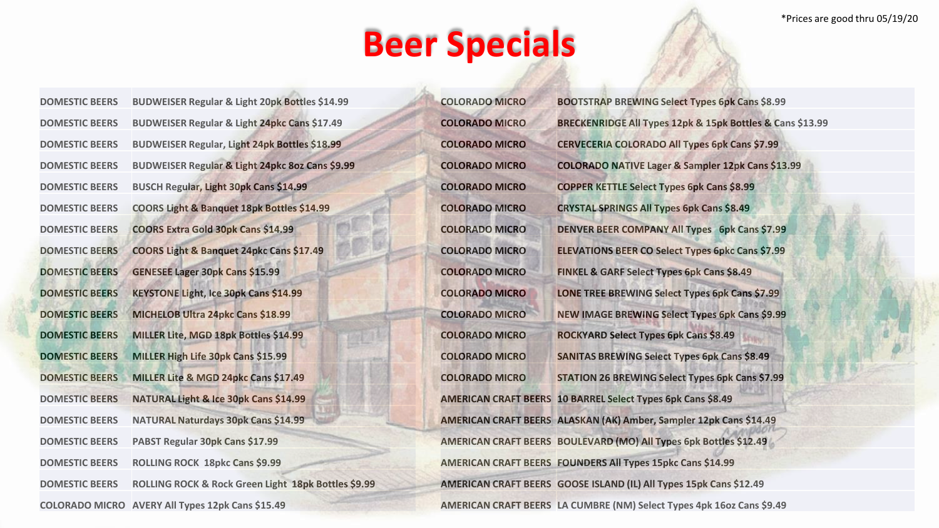\*Prices are good thru 05/19/20

## **Beer Specials**

| <b>DOMESTIC BEERS</b> | <b>BUDWEISER Regular &amp; Light 20pk Bottles \$14.99</b> |
|-----------------------|-----------------------------------------------------------|
| <b>DOMESTIC BEERS</b> | BUDWEISER Regular & Light 24pkc Cans \$17.49              |
| <b>DOMESTIC BEERS</b> | BUDWEISER Regular, Light 24pk Bottles \$18.99             |
| <b>DOMESTIC BEERS</b> | BUDWEISER Regular & Light 24pkc 8oz Cans \$9.99           |
| <b>DOMESTIC BEERS</b> | BUSCH Regular, Light 30pk Cans \$14.99                    |
| <b>DOMESTIC BEERS</b> | COORS Light & Banquet 18pk Bottles \$14.99                |
| <b>DOMESTIC BEERS</b> | COORS Extra Gold 30pk Cans \$14.99                        |
| <b>DOMESTIC BEERS</b> | COORS Light & Banquet 24pkc Cans \$17.49                  |
| <b>DOMESTIC BEERS</b> | <b>GENESEE Lager 30pk Cans \$15.99</b>                    |
| <b>DOMESTIC BEERS</b> | <b>KEYSTONE Light, Ice 30pk Cans \$14.99</b>              |
| <b>DOMESTIC BEERS</b> | MICHELOB Ultra 24pkc Cans \$18.99                         |
| <b>DOMESTIC BEERS</b> | MILLER Lite, MGD 18pk Bottles \$14.99                     |
| <b>DOMESTIC BEERS</b> | MILLER High Life 30pk Cans \$15.99                        |
| <b>DOMESTIC BEERS</b> | MILLER Lite & MGD 24pkc Cans \$17.49                      |
| <b>DOMESTIC BEERS</b> | NATURAL Light & Ice 30pk Cans \$14.99                     |
| <b>DOMESTIC BEERS</b> | <b>NATURAL Naturdays 30pk Cans \$14.99</b>                |
| <b>DOMESTIC BEERS</b> | PABST Regular 30pk Cans \$17.99                           |
| <b>DOMESTIC BEERS</b> | ROLLING ROCK 18pkc Cans \$9.99                            |
| <b>DOMESTIC BEERS</b> | ROLLING ROCK & Rock Green Light 18pk Bottles \$9.99       |
| <b>COLORADO MICRO</b> | <b>AVERY All Types 12pk Cans \$15.49</b>                  |

**COLORADO MICRO BOOTSTRAP BREWING Select Types 6pk Cans \$8.99 COLORADO MICRO BRECKENRIDGE All Types 12pk & 15pk Bottles & Cans \$13.99 COLORADO MICRO CERVECERIA COLORADO All Types 6pk Cans \$7.99 COLORADO MICRO COLORADO NATIVE Lager & Sampler 12pk Cans \$13.99 COLORADO MICRO COPPER KETTLE Select Types 6pk Cans \$8.99 COLORADO MICRO CRYSTAL SPRINGS All Types 6pk Cans \$8.49 COLORADO MICRO DENVER BEER COMPANY All Types 6pk Cans \$7.99 COLORADO MICRO ELEVATIONS BEER CO Select Types 6pkc Cans \$7.99 COLORADO MICRO FINKEL & GARF Select Types 6pk Cans \$8.49 COLORADO MICRO LONE TREE BREWING Select Types 6pk Cans \$7.99 COLORADO MICRO NEW IMAGE BREWING Select Types 6pk Cans \$9.99 COLORADO MICRO ROCKYARD Select Types 6pk Cans \$8.49 COLORADO MICRO SANITAS BREWING Select Types 6pk Cans \$8.49 COLORADO MICRO STATION 26 BREWING Select Types 6pk Cans \$7.99 AMERICAN CRAFT BEERS 10 BARREL Select Types 6pk Cans \$8.49 AMERICAN CRAFT BEERS ALASKAN (AK) Amber, Sampler 12pk Cans \$14.49 AMERICAN CRAFT BEERS BOULEVARD (MO) All Types 6pk Bottles \$12.49 AMERICAN CRAFT BEERS FOUNDERS All Types 15pkc Cans \$14.99 AMERICAN CRAFT BEERS GOOSE ISLAND (IL) All Types 15pk Cans \$12.49 AMERICAN CRAFT BEERS LA CUMBRE (NM) Select Types 4pk 16oz Cans \$9.49**